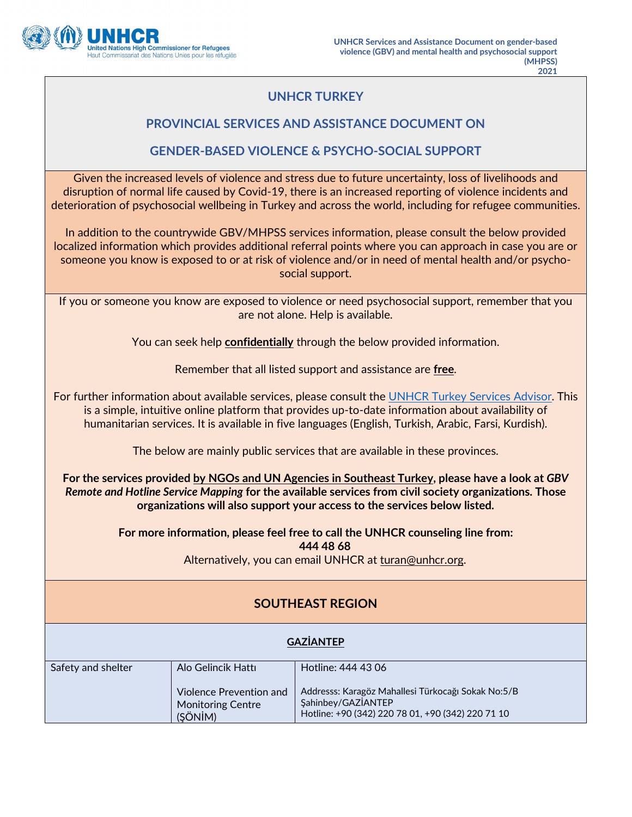

## **UNHCR TURKEY**

### **PROVINCIAL SERVICES AND ASSISTANCE DOCUMENT ON**

### **GENDER-BASED VIOLENCE & PSYCHO-SOCIAL SUPPORT**

Given the increased levels of violence and stress due to future uncertainty, loss of livelihoods and disruption of normal life caused by Covid-19, there is an increased reporting of violence incidents and deterioration of psychosocial wellbeing in Turkey and across the world, including for refugee communities.

In addition to the countrywide GBV/MHPSS services information, please consult the below provided localized information which provides additional referral points where you can approach in case you are or someone you know is exposed to or at risk of violence and/or in need of mental health and/or psychosocial support.

If you or someone you know are exposed to violence or need psychosocial support, remember that you are not alone. Help is available.

You can seek help **confidentially** through the below provided information.

Remember that all listed support and assistance are **free**.

For further information about available services, please consult the UNHCR Turkey Services Advisor. This is a simple, intuitive online platform that provides up-to-date information about availability of humanitarian services. It is available in five languages (English, Turkish, Arabic, Farsi, Kurdish).

The below are mainly public services that are available in these provinces.

**For the services provided by NGOs and UN Agencies in Southeast Turkey, please have a look at** *GBV Remote and Hotline Service Mapping* **for the available services from civil society organizations. Those organizations will also support your access to the services below listed.** 

> **For more information, please feel free to call the UNHCR counseling line from: 444 48 68** Alternatively, you can email UNHCR at [turan@unhcr.org.](mailto:turan@unhcr.org)

# **SOUTHEAST REGION**

#### **GAZİANTEP**

| Safety and shelter | Alo Gelincik Hattı                                             | Hotline: 444 43 06                                                                                                            |
|--------------------|----------------------------------------------------------------|-------------------------------------------------------------------------------------------------------------------------------|
|                    | Violence Prevention and<br><b>Monitoring Centre</b><br>(SÖNİM) | Addresss: Karagöz Mahallesi Türkocağı Sokak No:5/B<br>Sahinbey/GAZIANTEP<br>Hotline: +90 (342) 220 78 01, +90 (342) 220 71 10 |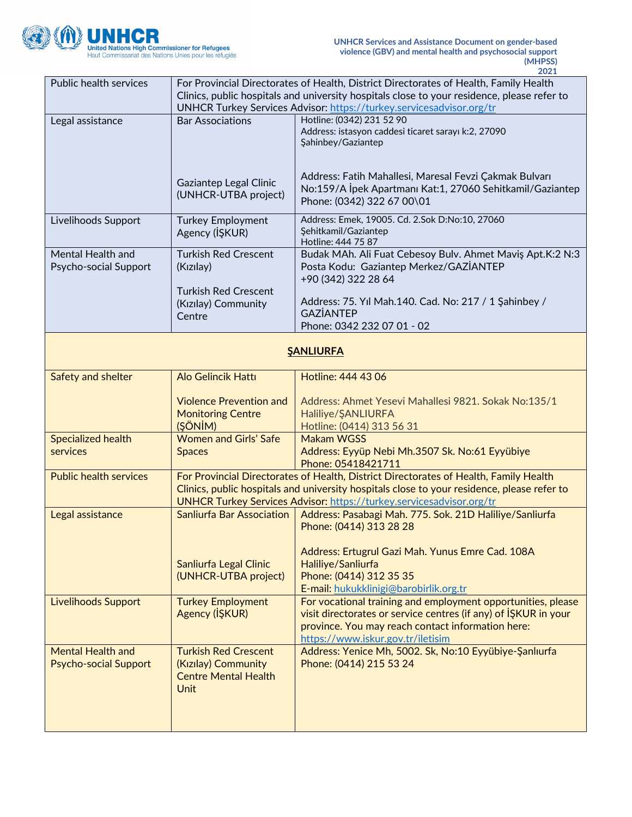

| <b>Public health services</b> | For Provincial Directorates of Health, District Directorates of Health, Family Health       |                                                                                             |
|-------------------------------|---------------------------------------------------------------------------------------------|---------------------------------------------------------------------------------------------|
|                               | Clinics, public hospitals and university hospitals close to your residence, please refer to |                                                                                             |
|                               | UNHCR Turkey Services Advisor: https://turkey.servicesadvisor.org/tr                        |                                                                                             |
| Legal assistance              | <b>Bar Associations</b>                                                                     | Hotline: (0342) 231 52 90                                                                   |
|                               |                                                                                             | Address: istasyon caddesi ticaret sarayı k:2, 27090                                         |
|                               |                                                                                             | Şahinbey/Gaziantep                                                                          |
|                               |                                                                                             |                                                                                             |
|                               |                                                                                             | Address: Fatih Mahallesi, Maresal Fevzi Çakmak Bulvarı                                      |
|                               | Gaziantep Legal Clinic                                                                      | No:159/A İpek Apartmanı Kat:1, 27060 Sehitkamil/Gaziantep                                   |
|                               | (UNHCR-UTBA project)                                                                        | Phone: (0342) 322 67 00\01                                                                  |
|                               |                                                                                             |                                                                                             |
| Livelihoods Support           | <b>Turkey Employment</b>                                                                    | Address: Emek, 19005. Cd. 2.Sok D:No:10, 27060                                              |
|                               | Agency (IŞKUR)                                                                              | Şehitkamil/Gaziantep                                                                        |
|                               |                                                                                             | Hotline: 444 75 87                                                                          |
| Mental Health and             | <b>Turkish Red Crescent</b>                                                                 | Budak MAh. Ali Fuat Cebesoy Bulv. Ahmet Maviş Apt.K:2 N:3                                   |
| Psycho-social Support         | (Kızılay)                                                                                   | Posta Kodu: Gaziantep Merkez/GAZIANTEP<br>+90 (342) 322 28 64                               |
|                               | <b>Turkish Red Crescent</b>                                                                 |                                                                                             |
|                               | (Kızılay) Community                                                                         | Address: 75. Yıl Mah.140. Cad. No: 217 / 1 Şahinbey /                                       |
|                               | Centre                                                                                      | <b>GAZIANTEP</b>                                                                            |
|                               |                                                                                             | Phone: 0342 232 07 01 - 02                                                                  |
|                               |                                                                                             |                                                                                             |
|                               |                                                                                             | <b>SANLIURFA</b>                                                                            |
|                               |                                                                                             |                                                                                             |
| Safety and shelter            | Alo Gelincik Hattı                                                                          | Hotline: 444 43 06                                                                          |
|                               |                                                                                             |                                                                                             |
|                               | <b>Violence Prevention and</b>                                                              | Address: Ahmet Yesevi Mahallesi 9821. Sokak No:135/1                                        |
|                               | <b>Monitoring Centre</b>                                                                    | Haliliye/ŞANLIURFA                                                                          |
|                               | (ŞÖNİM)                                                                                     | Hotline: (0414) 313 56 31                                                                   |
| <b>Specialized health</b>     | <b>Women and Girls' Safe</b>                                                                | <b>Makam WGSS</b>                                                                           |
| services                      | <b>Spaces</b>                                                                               | Address: Eyyüp Nebi Mh.3507 Sk. No:61 Eyyübiye                                              |
|                               |                                                                                             | Phone: 05418421711                                                                          |
| <b>Public health services</b> |                                                                                             | For Provincial Directorates of Health, District Directorates of Health, Family Health       |
|                               |                                                                                             | Clinics, public hospitals and university hospitals close to your residence, please refer to |
|                               |                                                                                             | <b>UNHCR Turkey Services Advisor: https://turkey.servicesadvisor.org/tr</b>                 |
| Legal assistance              | <b>Sanliurfa Bar Association</b>                                                            | Address: Pasabagi Mah. 775. Sok. 21D Haliliye/Sanliurfa                                     |
|                               |                                                                                             | Phone: (0414) 313 28 28                                                                     |
|                               |                                                                                             | Address: Ertugrul Gazi Mah. Yunus Emre Cad. 108A                                            |
|                               | Sanliurfa Legal Clinic                                                                      | Haliliye/Sanliurfa                                                                          |
|                               | (UNHCR-UTBA project)                                                                        | Phone: (0414) 312 35 35                                                                     |
|                               |                                                                                             | E-mail: hukukklinigi@barobirlik.org.tr                                                      |
| <b>Livelihoods Support</b>    | <b>Turkey Employment</b>                                                                    | For vocational training and employment opportunities, please                                |
|                               | Agency (IŞKUR)                                                                              | visit directorates or service centres (if any) of ISKUR in your                             |
|                               |                                                                                             | province. You may reach contact information here:                                           |
|                               |                                                                                             | https://www.iskur.gov.tr/iletisim                                                           |
| <b>Mental Health and</b>      | <b>Turkish Red Crescent</b>                                                                 | Address: Yenice Mh, 5002. Sk, No:10 Eyyübiye-Şanlıurfa                                      |
| <b>Psycho-social Support</b>  | (Kızılay) Community                                                                         | Phone: (0414) 215 53 24                                                                     |
|                               | <b>Centre Mental Health</b>                                                                 |                                                                                             |
|                               | <b>Unit</b>                                                                                 |                                                                                             |
|                               |                                                                                             |                                                                                             |
|                               |                                                                                             |                                                                                             |
|                               |                                                                                             |                                                                                             |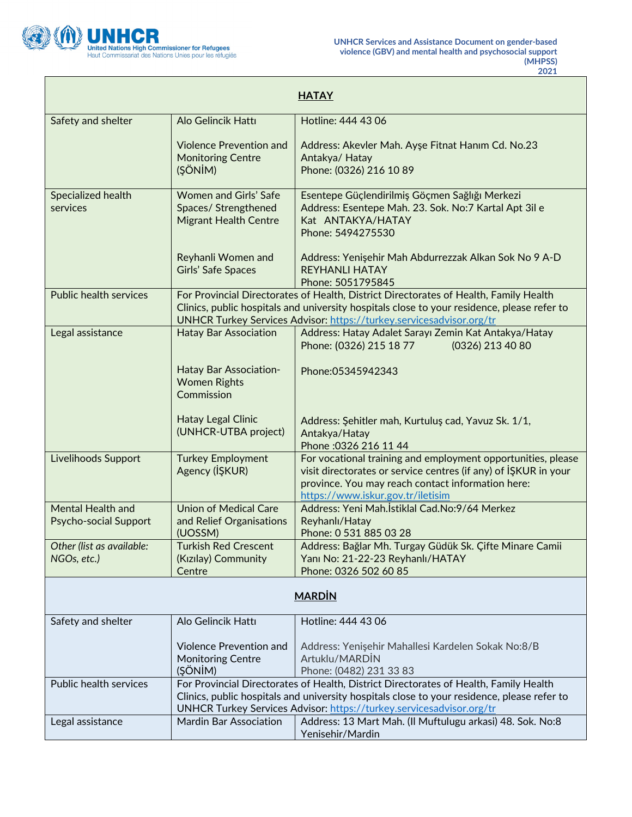

| <b>HATAY</b>                                      |                                                                                                                                                                                                                                                              |                                                                                                                                                                                                                                                              |
|---------------------------------------------------|--------------------------------------------------------------------------------------------------------------------------------------------------------------------------------------------------------------------------------------------------------------|--------------------------------------------------------------------------------------------------------------------------------------------------------------------------------------------------------------------------------------------------------------|
| Safety and shelter                                | Alo Gelincik Hattı                                                                                                                                                                                                                                           | Hotline: 444 43 06                                                                                                                                                                                                                                           |
|                                                   | <b>Violence Prevention and</b><br><b>Monitoring Centre</b><br>(ŞÖNİM)                                                                                                                                                                                        | Address: Akevler Mah. Ayşe Fitnat Hanım Cd. No.23<br>Antakya/ Hatay<br>Phone: (0326) 216 10 89                                                                                                                                                               |
| Specialized health<br>services                    | <b>Women and Girls' Safe</b><br>Spaces/ Strengthened<br><b>Migrant Health Centre</b>                                                                                                                                                                         | Esentepe Güçlendirilmiş Göçmen Sağlığı Merkezi<br>Address: Esentepe Mah. 23. Sok. No:7 Kartal Apt 3il e<br>Kat ANTAKYA/HATAY<br>Phone: 5494275530                                                                                                            |
|                                                   | Reyhanli Women and<br><b>Girls' Safe Spaces</b>                                                                                                                                                                                                              | Address: Yenişehir Mah Abdurrezzak Alkan Sok No 9 A-D<br><b>REYHANLI HATAY</b><br>Phone: 5051795845                                                                                                                                                          |
| <b>Public health services</b>                     |                                                                                                                                                                                                                                                              | For Provincial Directorates of Health, District Directorates of Health, Family Health<br>Clinics, public hospitals and university hospitals close to your residence, please refer to<br>UNHCR Turkey Services Advisor: https://turkey.servicesadvisor.org/tr |
| Legal assistance                                  | <b>Hatay Bar Association</b>                                                                                                                                                                                                                                 | Address: Hatay Adalet Sarayı Zemin Kat Antakya/Hatay<br>Phone: (0326) 215 18 77<br>(0326) 213 40 80                                                                                                                                                          |
|                                                   | Hatay Bar Association-<br><b>Women Rights</b><br>Commission                                                                                                                                                                                                  | Phone: 05345942343                                                                                                                                                                                                                                           |
|                                                   | Hatay Legal Clinic<br>(UNHCR-UTBA project)                                                                                                                                                                                                                   | Address: Şehitler mah, Kurtuluş cad, Yavuz Sk. 1/1,<br>Antakya/Hatay<br>Phone: 0326 216 11 44                                                                                                                                                                |
| Livelihoods Support                               | <b>Turkey Employment</b><br>Agency (IŞKUR)                                                                                                                                                                                                                   | For vocational training and employment opportunities, please<br>visit directorates or service centres (if any) of IŞKUR in your<br>province. You may reach contact information here:<br>https://www.iskur.gov.tr/iletisim                                    |
| Mental Health and<br><b>Psycho-social Support</b> | <b>Union of Medical Care</b><br>and Relief Organisations<br>(UOSSM)                                                                                                                                                                                          | Address: Yeni Mah.İstiklal Cad.No:9/64 Merkez<br>Reyhanlı/Hatay<br>Phone: 0 531 885 03 28                                                                                                                                                                    |
| Other (list as available:<br>NGOs, etc.)          | <b>Turkish Red Crescent</b><br>(Kızılay) Community<br>Centre                                                                                                                                                                                                 | Address: Bağlar Mh. Turgay Güdük Sk. Çifte Minare Camii<br>Yanı No: 21-22-23 Reyhanlı/HATAY<br>Phone: 0326 502 60 85                                                                                                                                         |
| <b>MARDIN</b>                                     |                                                                                                                                                                                                                                                              |                                                                                                                                                                                                                                                              |
| Safety and shelter                                | Alo Gelincik Hattı                                                                                                                                                                                                                                           | Hotline: 444 43 06                                                                                                                                                                                                                                           |
|                                                   | Violence Prevention and<br><b>Monitoring Centre</b><br>(ŞÖNİM)                                                                                                                                                                                               | Address: Yenişehir Mahallesi Kardelen Sokak No:8/B<br>Artuklu/MARDIN<br>Phone: (0482) 231 33 83                                                                                                                                                              |
| Public health services                            | For Provincial Directorates of Health, District Directorates of Health, Family Health<br>Clinics, public hospitals and university hospitals close to your residence, please refer to<br>UNHCR Turkey Services Advisor: https://turkey.servicesadvisor.org/tr |                                                                                                                                                                                                                                                              |
| Legal assistance                                  | <b>Mardin Bar Association</b>                                                                                                                                                                                                                                | Address: 13 Mart Mah. (Il Muftulugu arkasi) 48. Sok. No:8<br>Yenisehir/Mardin                                                                                                                                                                                |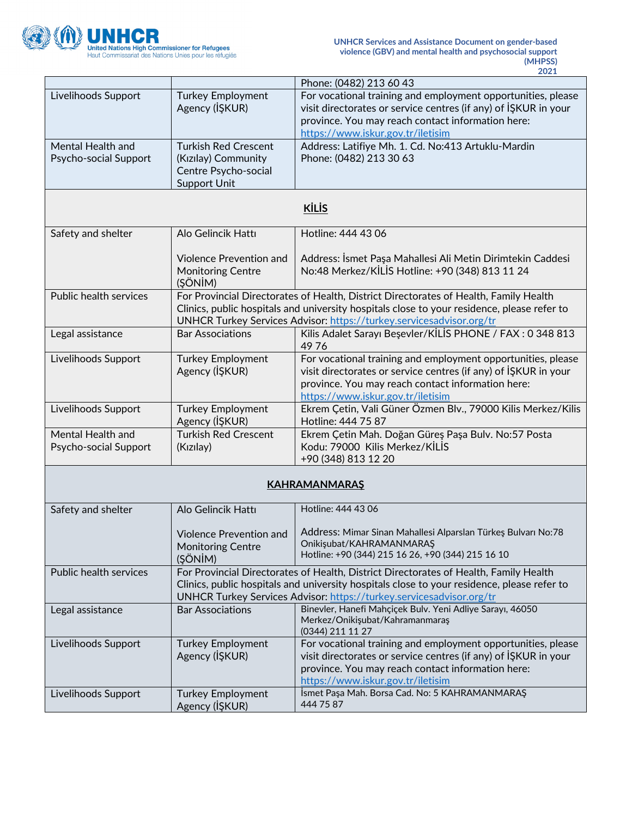

|                                            |                                                                                                                                                                                                                                                              | 2021                                                                                                                                                                                                                      |
|--------------------------------------------|--------------------------------------------------------------------------------------------------------------------------------------------------------------------------------------------------------------------------------------------------------------|---------------------------------------------------------------------------------------------------------------------------------------------------------------------------------------------------------------------------|
|                                            |                                                                                                                                                                                                                                                              | Phone: (0482) 213 60 43                                                                                                                                                                                                   |
| Livelihoods Support                        | <b>Turkey Employment</b><br>Agency (IŞKUR)                                                                                                                                                                                                                   | For vocational training and employment opportunities, please<br>visit directorates or service centres (if any) of ISKUR in your<br>province. You may reach contact information here:<br>https://www.iskur.gov.tr/iletisim |
| Mental Health and<br>Psycho-social Support | <b>Turkish Red Crescent</b><br>(Kızılay) Community<br>Centre Psycho-social<br><b>Support Unit</b>                                                                                                                                                            | Address: Latifiye Mh. 1. Cd. No:413 Artuklu-Mardin<br>Phone: (0482) 213 30 63                                                                                                                                             |
| <b>KİLİS</b>                               |                                                                                                                                                                                                                                                              |                                                                                                                                                                                                                           |
| Safety and shelter                         | Alo Gelincik Hattı                                                                                                                                                                                                                                           | Hotline: 444 43 06                                                                                                                                                                                                        |
|                                            | <b>Violence Prevention and</b><br><b>Monitoring Centre</b><br>(ŞÖNİM)                                                                                                                                                                                        | Address: İsmet Paşa Mahallesi Ali Metin Dirimtekin Caddesi<br>No:48 Merkez/KİLİS Hotline: +90 (348) 813 11 24                                                                                                             |
| <b>Public health services</b>              | For Provincial Directorates of Health, District Directorates of Health, Family Health<br>Clinics, public hospitals and university hospitals close to your residence, please refer to<br>UNHCR Turkey Services Advisor: https://turkey.servicesadvisor.org/tr |                                                                                                                                                                                                                           |
| Legal assistance                           | <b>Bar Associations</b>                                                                                                                                                                                                                                      | Kilis Adalet Sarayı Beşevler/KİLİS PHONE / FAX: 0 348 813<br>4976                                                                                                                                                         |
| Livelihoods Support                        | <b>Turkey Employment</b><br>Agency (IŞKUR)                                                                                                                                                                                                                   | For vocational training and employment opportunities, please<br>visit directorates or service centres (if any) of ISKUR in your<br>province. You may reach contact information here:<br>https://www.iskur.gov.tr/iletisim |
| Livelihoods Support                        | <b>Turkey Employment</b><br>Agency (IŞKUR)                                                                                                                                                                                                                   | Ekrem Çetin, Vali Güner Özmen Blv., 79000 Kilis Merkez/Kilis<br>Hotline: 444 75 87                                                                                                                                        |
| Mental Health and<br>Psycho-social Support | <b>Turkish Red Crescent</b><br>(Kızılay)                                                                                                                                                                                                                     | Ekrem Çetin Mah. Doğan Güreş Paşa Bulv. No:57 Posta<br>Kodu: 79000 Kilis Merkez/KİLİS<br>+90 (348) 813 12 20                                                                                                              |
| <b>KAHRAMANMARAŞ</b>                       |                                                                                                                                                                                                                                                              |                                                                                                                                                                                                                           |
| Safety and shelter                         | Alo Gelincik Hattı                                                                                                                                                                                                                                           | Hotline: 444 43 06                                                                                                                                                                                                        |
|                                            | Violence Prevention and<br><b>Monitoring Centre</b><br>(ŞÖNİM)                                                                                                                                                                                               | Address: Mimar Sinan Mahallesi Alparslan Türkeş Bulvarı No:78<br>Onikişubat/KAHRAMANMARAŞ<br>Hotline: +90 (344) 215 16 26, +90 (344) 215 16 10                                                                            |
| Public health services                     | For Provincial Directorates of Health, District Directorates of Health, Family Health<br>Clinics, public hospitals and university hospitals close to your residence, please refer to<br>UNHCR Turkey Services Advisor: https://turkey.servicesadvisor.org/tr |                                                                                                                                                                                                                           |
| Legal assistance                           | <b>Bar Associations</b>                                                                                                                                                                                                                                      | Binevler, Hanefi Mahçiçek Bulv. Yeni Adliye Sarayı, 46050<br>Merkez/Onikişubat/Kahramanmaraş<br>(0344) 211 11 27                                                                                                          |
| Livelihoods Support                        | <b>Turkey Employment</b><br>Agency (IŞKUR)                                                                                                                                                                                                                   | For vocational training and employment opportunities, please<br>visit directorates or service centres (if any) of ISKUR in your<br>province. You may reach contact information here:<br>https://www.iskur.gov.tr/iletisim |
| Livelihoods Support                        | <b>Turkey Employment</b><br>Agency (IŞKUR)                                                                                                                                                                                                                   | İsmet Paşa Mah. Borsa Cad. No: 5 KAHRAMANMARAŞ<br>444 75 87                                                                                                                                                               |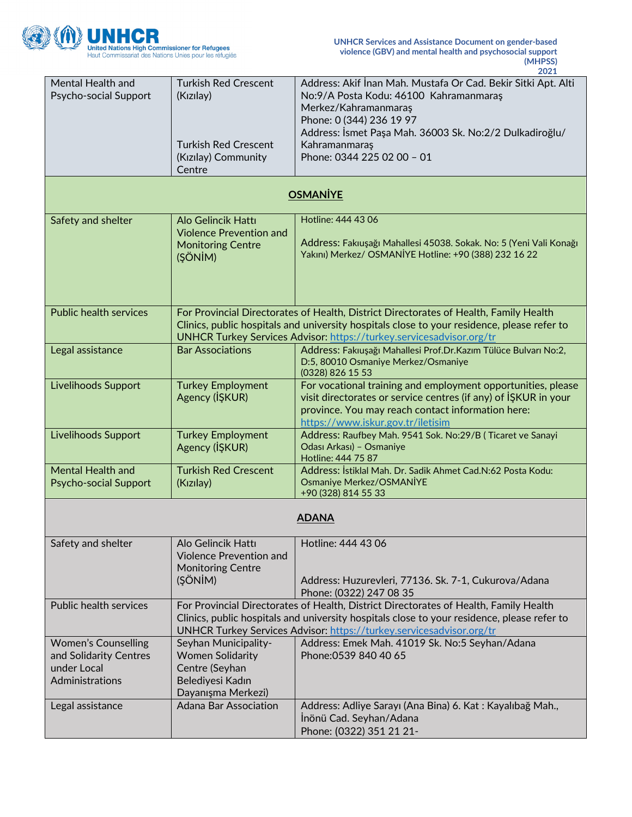

|                                                                                        |                                                                                                                                                                                                                                                              | 2021                                                                                                                                                                                                                                                                  |
|----------------------------------------------------------------------------------------|--------------------------------------------------------------------------------------------------------------------------------------------------------------------------------------------------------------------------------------------------------------|-----------------------------------------------------------------------------------------------------------------------------------------------------------------------------------------------------------------------------------------------------------------------|
| Mental Health and<br>Psycho-social Support                                             | <b>Turkish Red Crescent</b><br>(Kızılay)<br><b>Turkish Red Crescent</b><br>(Kızılay) Community<br>Centre                                                                                                                                                     | Address: Akif İnan Mah. Mustafa Or Cad. Bekir Sitki Apt. Alti<br>No:9/A Posta Kodu: 46100 Kahramanmaraş<br>Merkez/Kahramanmaraş<br>Phone: 0 (344) 236 19 97<br>Address: İsmet Paşa Mah. 36003 Sk. No:2/2 Dulkadiroğlu/<br>Kahramanmaras<br>Phone: 0344 225 02 00 - 01 |
|                                                                                        |                                                                                                                                                                                                                                                              | <b>OSMANİYE</b>                                                                                                                                                                                                                                                       |
| Safety and shelter                                                                     | Alo Gelincik Hattı<br><b>Violence Prevention and</b><br><b>Monitoring Centre</b><br>(ŞÖNİM)                                                                                                                                                                  | Hotline: 444 43 06<br>Address: Fakıuşağı Mahallesi 45038. Sokak. No: 5 (Yeni Vali Konağı<br>Yakını) Merkez/ OSMANİYE Hotline: +90 (388) 232 16 22                                                                                                                     |
| <b>Public health services</b>                                                          |                                                                                                                                                                                                                                                              | For Provincial Directorates of Health, District Directorates of Health, Family Health<br>Clinics, public hospitals and university hospitals close to your residence, please refer to<br>UNHCR Turkey Services Advisor: https://turkey.servicesadvisor.org/tr          |
| Legal assistance                                                                       | <b>Bar Associations</b>                                                                                                                                                                                                                                      | Address: Fakıuşağı Mahallesi Prof.Dr.Kazım Tülüce Bulvarı No:2,<br>D:5, 80010 Osmaniye Merkez/Osmaniye<br>(0328) 826 15 53                                                                                                                                            |
| Livelihoods Support                                                                    | <b>Turkey Employment</b><br>Agency (IŞKUR)                                                                                                                                                                                                                   | For vocational training and employment opportunities, please<br>visit directorates or service centres (if any) of ISKUR in your<br>province. You may reach contact information here:<br>https://www.iskur.gov.tr/iletisim                                             |
| Livelihoods Support                                                                    | <b>Turkey Employment</b><br>Agency (IŞKUR)                                                                                                                                                                                                                   | Address: Raufbey Mah. 9541 Sok. No:29/B (Ticaret ve Sanayi<br>Odası Arkası) - Osmaniye<br>Hotline: 444 75 87                                                                                                                                                          |
| <b>Mental Health and</b><br><b>Psycho-social Support</b>                               | <b>Turkish Red Crescent</b><br>(Kızılay)                                                                                                                                                                                                                     | Address: İstiklal Mah. Dr. Sadik Ahmet Cad.N:62 Posta Kodu:<br>Osmaniye Merkez/OSMANİYE<br>+90 (328) 814 55 33                                                                                                                                                        |
| <b>ADANA</b>                                                                           |                                                                                                                                                                                                                                                              |                                                                                                                                                                                                                                                                       |
| Safety and shelter                                                                     | Alo Gelincik Hattı<br><b>Violence Prevention and</b><br><b>Monitoring Centre</b><br>(ŞÖNİM)                                                                                                                                                                  | Hotline: 444 43 06<br>Address: Huzurevleri, 77136. Sk. 7-1, Cukurova/Adana<br>Phone: (0322) 247 08 35                                                                                                                                                                 |
| <b>Public health services</b>                                                          | For Provincial Directorates of Health, District Directorates of Health, Family Health<br>Clinics, public hospitals and university hospitals close to your residence, please refer to<br>UNHCR Turkey Services Advisor: https://turkey.servicesadvisor.org/tr |                                                                                                                                                                                                                                                                       |
| <b>Women's Counselling</b><br>and Solidarity Centres<br>under Local<br>Administrations | Seyhan Municipality-<br><b>Women Solidarity</b><br>Centre (Seyhan<br>Belediyesi Kadın<br>Dayanışma Merkezi)                                                                                                                                                  | Address: Emek Mah. 41019 Sk. No:5 Seyhan/Adana<br>Phone: 0539 840 40 65                                                                                                                                                                                               |
| Legal assistance                                                                       | <b>Adana Bar Association</b>                                                                                                                                                                                                                                 | Address: Adliye Sarayı (Ana Bina) 6. Kat: Kayalıbağ Mah.,<br>İnönü Cad. Seyhan/Adana<br>Phone: (0322) 351 21 21-                                                                                                                                                      |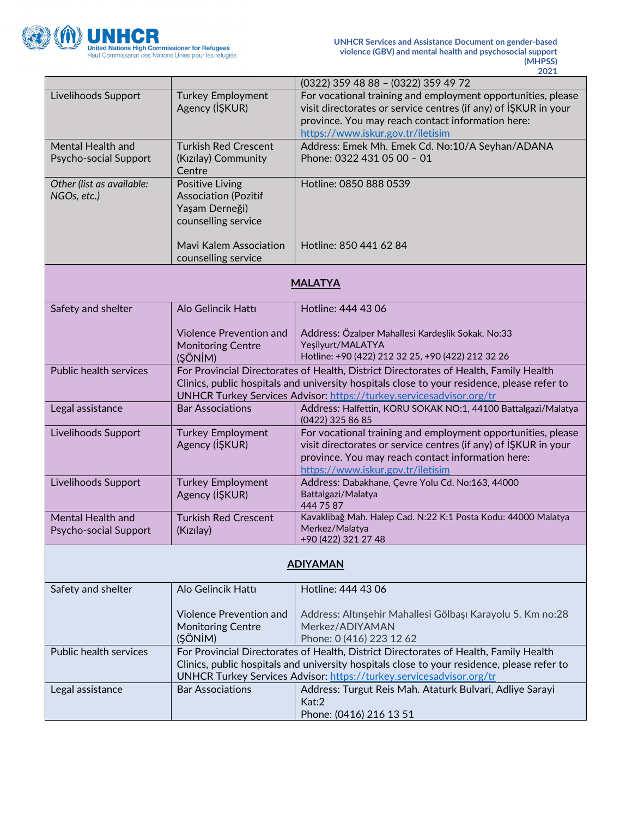

|                                            |                                                                                                                                                                                                                                                              | 2021                                                                                                                                                                                                                      |
|--------------------------------------------|--------------------------------------------------------------------------------------------------------------------------------------------------------------------------------------------------------------------------------------------------------------|---------------------------------------------------------------------------------------------------------------------------------------------------------------------------------------------------------------------------|
|                                            |                                                                                                                                                                                                                                                              | (0322) 359 48 88 - (0322) 359 49 72                                                                                                                                                                                       |
| Livelihoods Support                        | <b>Turkey Employment</b><br>Agency (IŞKUR)                                                                                                                                                                                                                   | For vocational training and employment opportunities, please<br>visit directorates or service centres (if any) of ISKUR in your<br>province. You may reach contact information here:<br>https://www.iskur.gov.tr/iletisim |
| Mental Health and<br>Psycho-social Support | <b>Turkish Red Crescent</b><br>(Kızılay) Community<br>Centre                                                                                                                                                                                                 | Address: Emek Mh. Emek Cd. No:10/A Seyhan/ADANA<br>Phone: 0322 431 05 00 - 01                                                                                                                                             |
| Other (list as available:<br>NGOs, etc.)   | <b>Positive Living</b><br><b>Association (Pozitif</b><br>Yaşam Derneği)<br>counselling service                                                                                                                                                               | Hotline: 0850 888 0539                                                                                                                                                                                                    |
|                                            | <b>Mavi Kalem Association</b><br>counselling service                                                                                                                                                                                                         | Hotline: 850 441 62 84                                                                                                                                                                                                    |
| <b>MALATYA</b>                             |                                                                                                                                                                                                                                                              |                                                                                                                                                                                                                           |
| Safety and shelter                         | Alo Gelincik Hattı                                                                                                                                                                                                                                           | Hotline: 444 43 06                                                                                                                                                                                                        |
|                                            | <b>Violence Prevention and</b><br><b>Monitoring Centre</b><br>(ŞÖNİM)                                                                                                                                                                                        | Address: Özalper Mahallesi Kardeşlik Sokak. No:33<br>Yeşilyurt/MALATYA<br>Hotline: +90 (422) 212 32 25, +90 (422) 212 32 26                                                                                               |
| <b>Public health services</b>              | For Provincial Directorates of Health, District Directorates of Health, Family Health<br>Clinics, public hospitals and university hospitals close to your residence, please refer to<br>UNHCR Turkey Services Advisor: https://turkey.servicesadvisor.org/tr |                                                                                                                                                                                                                           |
| Legal assistance                           | <b>Bar Associations</b>                                                                                                                                                                                                                                      | Address: Halfettin, KORU SOKAK NO:1, 44100 Battalgazi/Malatya<br>(0422) 325 86 85                                                                                                                                         |
| Livelihoods Support                        | <b>Turkey Employment</b><br>Agency (IŞKUR)                                                                                                                                                                                                                   | For vocational training and employment opportunities, please<br>visit directorates or service centres (if any) of ISKUR in your<br>province. You may reach contact information here:<br>https://www.iskur.gov.tr/iletisim |
| Livelihoods Support                        | <b>Turkey Employment</b><br>Agency (IŞKUR)                                                                                                                                                                                                                   | Address: Dabakhane, Çevre Yolu Cd. No:163, 44000<br>Battalgazi/Malatya<br>444 75 87                                                                                                                                       |
| Mental Health and<br>Psycho-social Support | <b>Turkish Red Crescent</b><br>(Kızılay)                                                                                                                                                                                                                     | Kavaklibağ Mah. Halep Cad. N:22 K:1 Posta Kodu: 44000 Malatya<br>Merkez/Malatya<br>+90 (422) 321 27 48                                                                                                                    |
| <u>ADIYAMAN</u>                            |                                                                                                                                                                                                                                                              |                                                                                                                                                                                                                           |
| Safety and shelter                         | Alo Gelincik Hattı                                                                                                                                                                                                                                           | Hotline: 444 43 06                                                                                                                                                                                                        |
|                                            | <b>Violence Prevention and</b><br><b>Monitoring Centre</b><br>(ŞÖNİM)                                                                                                                                                                                        | Address: Altınşehir Mahallesi Gölbaşı Karayolu 5. Km no:28<br>Merkez/ADIYAMAN<br>Phone: 0 (416) 223 12 62                                                                                                                 |
| Public health services                     | For Provincial Directorates of Health, District Directorates of Health, Family Health<br>Clinics, public hospitals and university hospitals close to your residence, please refer to<br>UNHCR Turkey Services Advisor: https://turkey.servicesadvisor.org/tr |                                                                                                                                                                                                                           |
| Legal assistance                           | <b>Bar Associations</b>                                                                                                                                                                                                                                      | Address: Turgut Reis Mah. Ataturk Bulvari, Adliye Sarayi<br>Kat:2<br>Phone: (0416) 216 13 51                                                                                                                              |